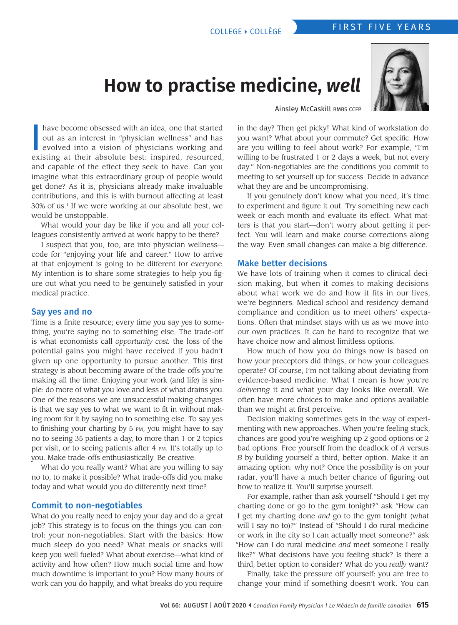# FIRST FIVE YEARS COLLEGE } COLLÈGE

# **How to practise medicine,** *well*



Ainsley McCaskill BMBS CCFP

have become obsessed with an idea, one that started out as an interest in "physician wellness" and has evolved into a vision of physicians working and existing at their absolute best: inspired, resourced, have become obsessed with an idea, one that started out as an interest in "physician wellness" and has evolved into a vision of physicians working and and capable of the effect they seek to have. Can you imagine what this extraordinary group of people would get done? As it is, physicians already make invaluable contributions, and this is with burnout affecting at least 30% of us.1 If we were working at our absolute best, we would be unstoppable.

What would your day be like if you and all your colleagues consistently arrived at work happy to be there?

I suspect that you, too, are into physician wellness code for "enjoying your life and career." How to arrive at that enjoyment is going to be different for everyone. My intention is to share some strategies to help you figure out what you need to be genuinely satisfied in your medical practice.

#### Say yes and no

Time is a finite resource; every time you say yes to something, you're saying no to something else. The trade-off is what economists call *opportunity cost:* the loss of the potential gains you might have received if you hadn't given up one opportunity to pursue another. This first strategy is about becoming aware of the trade-offs you're making all the time. Enjoying your work (and life) is simple: do more of what you love and less of what drains you. One of the reasons we are unsuccessful making changes is that we say yes to what we want to fit in without making room for it by saying no to something else. To say yes to finishing your charting by 5 pm, you might have to say no to seeing 35 patients a day, to more than 1 or 2 topics per visit, or to seeing patients after 4 pm. It's totally up to you. Make trade-offs enthusiastically. Be creative.

What do you really want? What are you willing to say no to, to make it possible? What trade-offs did you make today and what would you do differently next time?

## Commit to non-negotiables

What do you really need to enjoy your day and do a great job? This strategy is to focus on the things you can control: your non-negotiables. Start with the basics: How much sleep do you need? What meals or snacks will keep you well fueled? What about exercise—what kind of activity and how often? How much social time and how much downtime is important to you? How many hours of work can you do happily, and what breaks do you require

in the day? Then get picky! What kind of workstation do you want? What about your commute? Get specific. How are you willing to feel about work? For example, "I'm willing to be frustrated 1 or 2 days a week, but not every day." Non-negotiables are the conditions you commit to meeting to set yourself up for success. Decide in advance what they are and be uncompromising.

If you genuinely don't know what you need, it's time to experiment and figure it out. Try something new each week or each month and evaluate its effect. What matters is that you start—don't worry about getting it perfect. You will learn and make course corrections along the way. Even small changes can make a big difference.

#### Make better decisions

We have lots of training when it comes to clinical decision making, but when it comes to making decisions about what work we do and how it fits in our lives, we're beginners. Medical school and residency demand compliance and condition us to meet others' expectations. Often that mindset stays with us as we move into our own practices. It can be hard to recognize that we have choice now and almost limitless options.

How much of how you do things now is based on how your preceptors did things, or how your colleagues operate? Of course, I'm not talking about deviating from evidence-based medicine. What I mean is how you're *delivering* it and what your day looks like overall. We often have more choices to make and options available than we might at first perceive.

Decision making sometimes gets in the way of experimenting with new approaches. When you're feeling stuck, chances are good you're weighing up 2 good options or 2 bad options. Free yourself from the deadlock of *A* versus *B* by building yourself a third, better option. Make it an amazing option: why not? Once the possibility is on your radar, you'll have a much better chance of figuring out how to realize it. You'll surprise yourself.

For example, rather than ask yourself "Should I get my charting done or go to the gym tonight?" ask "How can I get my charting done *and* go to the gym tonight (what will I say no to)?" Instead of "Should I do rural medicine or work in the city so I can actually meet someone?" ask "How can I do rural medicine *and* meet someone I really like?" What decisions have you feeling stuck? Is there a third, better option to consider? What do you *really* want?

Finally, take the pressure off yourself: you are free to change your mind if something doesn't work. You can